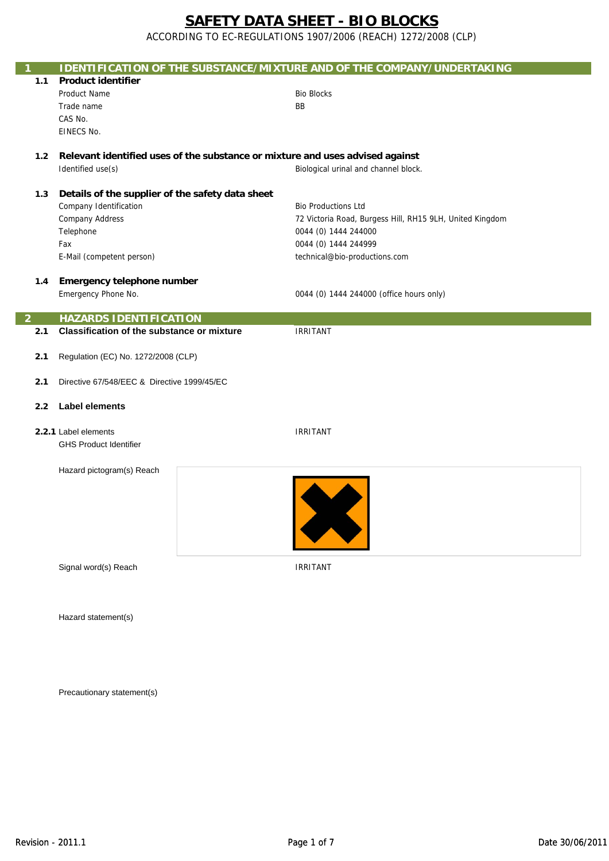ACCORDING TO EC-REGULATIONS 1907/2006 (REACH) 1272/2008 (CLP)

| 1                                          |                                                   |  | <b>IDENTIFICATION OF THE SUBSTANCE/MIXTURE AND OF THE COMPANY/UNDERTAKING</b> |
|--------------------------------------------|---------------------------------------------------|--|-------------------------------------------------------------------------------|
| 1.1                                        | <b>Product identifier</b>                         |  |                                                                               |
|                                            | <b>Product Name</b>                               |  | <b>Bio Blocks</b>                                                             |
|                                            | Trade name                                        |  | BB                                                                            |
|                                            | CAS No.                                           |  |                                                                               |
|                                            | EINECS No.                                        |  |                                                                               |
|                                            |                                                   |  |                                                                               |
| 1.2                                        |                                                   |  | Relevant identified uses of the substance or mixture and uses advised against |
|                                            | Identified use(s)                                 |  | Biological urinal and channel block.                                          |
|                                            |                                                   |  |                                                                               |
| 1.3                                        | Details of the supplier of the safety data sheet  |  |                                                                               |
|                                            | Company Identification                            |  | <b>Bio Productions Ltd</b>                                                    |
|                                            | <b>Company Address</b>                            |  | 72 Victoria Road, Burgess Hill, RH15 9LH, United Kingdom                      |
|                                            | Telephone                                         |  | 0044 (0) 1444 244000                                                          |
|                                            | Fax                                               |  | 0044 (0) 1444 244999                                                          |
|                                            | E-Mail (competent person)                         |  | technical@bio-productions.com                                                 |
|                                            |                                                   |  |                                                                               |
| 1.4                                        | Emergency telephone number                        |  |                                                                               |
|                                            | Emergency Phone No.                               |  | 0044 (0) 1444 244000 (office hours only)                                      |
| $\overline{2}$                             | <b>HAZARDS IDENTIFICATION</b>                     |  |                                                                               |
| 2.1                                        | <b>Classification of the substance or mixture</b> |  | <b>IRRITANT</b>                                                               |
|                                            |                                                   |  |                                                                               |
| Regulation (EC) No. 1272/2008 (CLP)<br>2.1 |                                                   |  |                                                                               |
|                                            |                                                   |  |                                                                               |
| 2.1                                        | Directive 67/548/EEC & Directive 1999/45/EC       |  |                                                                               |
|                                            |                                                   |  |                                                                               |
| 2.2                                        | <b>Label elements</b>                             |  |                                                                               |
|                                            |                                                   |  |                                                                               |
|                                            | 2.2.1 Label elements                              |  | <b>IRRITANT</b>                                                               |
|                                            | <b>GHS Product Identifier</b>                     |  |                                                                               |
|                                            |                                                   |  |                                                                               |
|                                            | Hazard pictogram(s) Reach                         |  |                                                                               |
|                                            |                                                   |  |                                                                               |
|                                            |                                                   |  |                                                                               |
|                                            |                                                   |  |                                                                               |
|                                            |                                                   |  |                                                                               |
|                                            |                                                   |  |                                                                               |
|                                            |                                                   |  |                                                                               |
|                                            | Signal word(s) Reach                              |  | <b>IRRITANT</b>                                                               |
|                                            |                                                   |  |                                                                               |
|                                            |                                                   |  |                                                                               |
|                                            |                                                   |  |                                                                               |
|                                            | Hazard statement(s)                               |  |                                                                               |
|                                            |                                                   |  |                                                                               |

Precautionary statement(s)

F

P.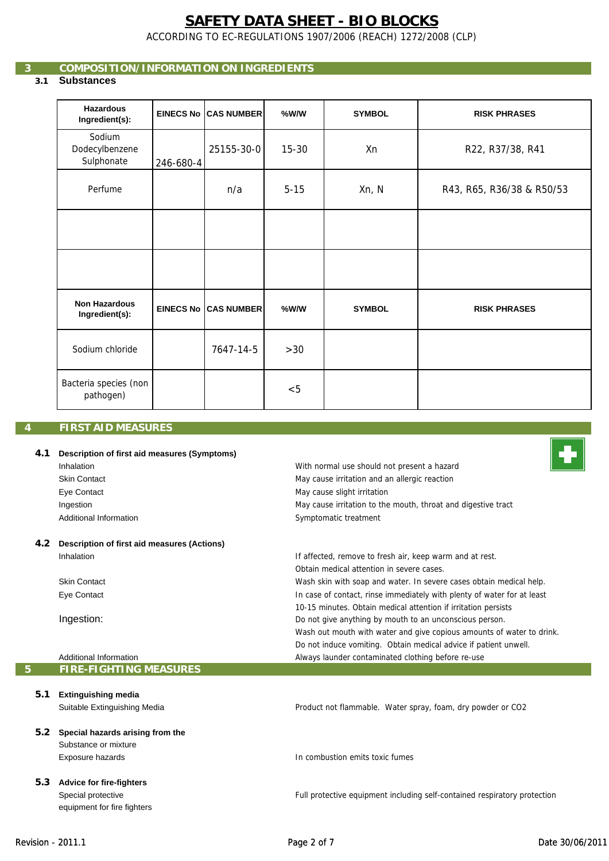ACCORDING TO EC-REGULATIONS 1907/2006 (REACH) 1272/2008 (CLP)

## **3 COMPOSITION/INFORMATION ON INGREDIENTS**

## **3.1 Substances**

| <b>Hazardous</b><br>Ingredient(s):     |           | <b>EINECS No CAS NUMBER</b> | %W/W      | <b>SYMBOL</b> | <b>RISK PHRASES</b>       |
|----------------------------------------|-----------|-----------------------------|-----------|---------------|---------------------------|
| Sodium<br>Dodecylbenzene<br>Sulphonate | 246-680-4 | 25155-30-0                  | $15 - 30$ | Xn            | R22, R37/38, R41          |
| Perfume                                |           | n/a                         | $5 - 15$  | Xn, N         | R43, R65, R36/38 & R50/53 |
|                                        |           |                             |           |               |                           |
|                                        |           |                             |           |               |                           |
| <b>Non Hazardous</b><br>Ingredient(s): |           | <b>EINECS No CAS NUMBER</b> | $%$ W/W   | <b>SYMBOL</b> | <b>RISK PHRASES</b>       |
| Sodium chloride                        |           | 7647-14-5                   | $>30$     |               |                           |
| Bacteria species (non<br>pathogen)     |           |                             | < 5       |               |                           |

## **4 FIRST AID MEASURES**

#### **4.1 Description of first aid measures (Symptoms)** Inhalation Skin Contact Eye Contact Ingestion Additional Information **4.2 Description of first aid measures (Actions)** Inhalation Skin Contact Eye Contact With normal use should not present a hazard May cause irritation and an allergic reaction Symptomatic treatment May cause slight irritation If affected, remove to fresh air, keep warm and at rest. May cause irritation to the mouth, throat and digestive tract Wash skin with soap and water. In severe cases obtain medical help. In case of contact, rinse immediately with plenty of water for at least Obtain medical attention in severe cases.

Always launder contaminated clothing before re-use

10-15 minutes. Obtain medical attention if irritation persists Do not give anything by mouth to an unconscious person.

Wash out mouth with water and give copious amounts of water to drink. Do not induce vomiting. Obtain medical advice if patient unwell.

Ingestion:

Additional Information **5 FIRE-FIGHTING MEASURES**

equipment for fire fighters

| 5.1           | <b>Extinguishing media</b>       |                                                                           |
|---------------|----------------------------------|---------------------------------------------------------------------------|
|               | Suitable Extinguishing Media     | Product not flammable. Water spray, foam, dry powder or CO2               |
| $5.2^{\circ}$ | Special hazards arising from the |                                                                           |
|               | Substance or mixture             |                                                                           |
|               | Exposure hazards                 | In combustion emits toxic fumes                                           |
| 5.3           | <b>Advice for fire-fighters</b>  |                                                                           |
|               | Special protective               | Full protective equipment including self-contained respiratory protection |

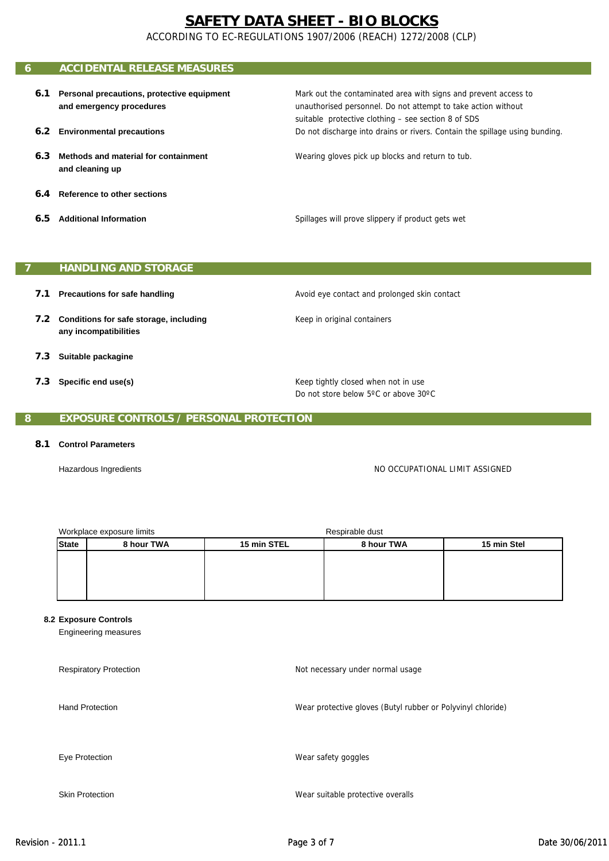ACCORDING TO EC-REGULATIONS 1907/2006 (REACH) 1272/2008 (CLP)

#### **6 ACCIDENTAL RELEASE MEASURES 6.1 Personal precautions, protective equipment and emergency procedures** Mark out the contaminated area with signs and prevent access to unauthorised personnel. Do not attempt to take action without

- **6.2 Environmental precautions**
- **6.3 Methods and material for containment and cleaning up**
- **6.4 Reference to other sections**
- **6.5 Additional Information**

Spillages will prove slippery if product gets wet

suitable protective clothing – see section 8 of SDS

Wearing gloves pick up blocks and return to tub.

Do not discharge into drains or rivers. Contain the spillage using bunding.

## **7 HANDLING AND STORAGE**

- **7.1 Precautions for safe handling**
- **7.2 Conditions for safe storage, including any incompatibilities**
- **7.3 Suitable packagine**
- **7.3 Specific end use(s)**

Avoid eye contact and prolonged skin contact

Keep in original containers

Keep tightly closed when not in use Do not store below 5ºC or above 30ºC

## **8 EXPOSURE CONTROLS / PERSONAL PROTECTION**

## **8.1 Control Parameters**

Hazardous Ingredients

NO OCCUPATIONAL LIMIT ASSIGNED

| Workplace exposure limits  |  |                           | Respirable dust |             |  |
|----------------------------|--|---------------------------|-----------------|-------------|--|
| 8 hour TWA<br><b>State</b> |  | 8 hour TWA<br>15 min STEL |                 | 15 min Stel |  |
|                            |  |                           |                 |             |  |
|                            |  |                           |                 |             |  |
|                            |  |                           |                 |             |  |
|                            |  |                           |                 |             |  |

#### **8.2 Exposure Controls**

Engineering measures

| <b>Respiratory Protection</b> | Not necessary under normal usage                            |
|-------------------------------|-------------------------------------------------------------|
| <b>Hand Protection</b>        | Wear protective gloves (Butyl rubber or Polyvinyl chloride) |
| Eye Protection                | Wear safety goggles                                         |
| <b>Skin Protection</b>        | Wear suitable protective overalls                           |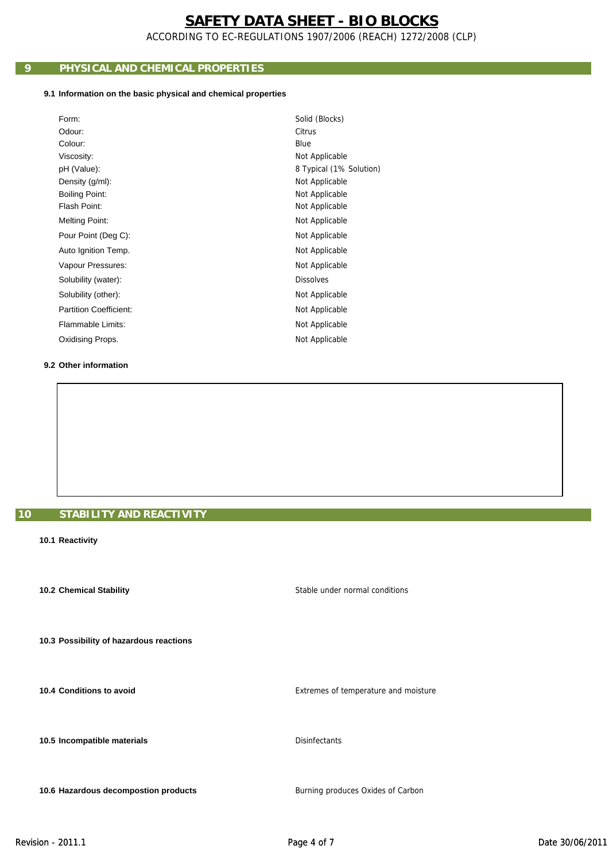ACCORDING TO EC-REGULATIONS 1907/2006 (REACH) 1272/2008 (CLP)

## **9 PHYSICAL AND CHEMICAL PROPERTIES**

## **9.1 Information on the basic physical and chemical properties**

| Form:                         | Solid (Blocks)          |
|-------------------------------|-------------------------|
| Odour:                        | Citrus                  |
| Colour:                       | Blue                    |
| Viscosity:                    | Not Applicable          |
| pH (Value):                   | 8 Typical (1% Solution) |
| Density (g/ml):               | Not Applicable          |
| <b>Boiling Point:</b>         | Not Applicable          |
| Flash Point:                  | Not Applicable          |
| <b>Melting Point:</b>         | Not Applicable          |
| Pour Point (Deg C):           | Not Applicable          |
| Auto Ignition Temp.           | Not Applicable          |
| Vapour Pressures:             | Not Applicable          |
| Solubility (water):           | <b>Dissolves</b>        |
| Solubility (other):           | Not Applicable          |
| <b>Partition Coefficient:</b> | Not Applicable          |
| Flammable Limits:             | Not Applicable          |
| Oxidising Props.              | Not Applicable          |
|                               |                         |

## **9.2 Other information**

## **10 STABILITY AND REACTIVITY**

### **10.1 Reactivity**

 **10.2 Chemical Stability**

 **10.3 Possibility of hazardous reactions**

 **10.4 Conditions to avoid**

 **10.5 Incompatible materials**

 **10.6 Hazardous decompostion products**

Extremes of temperature and moisture

Stable under normal conditions

Disinfectants

Burning produces Oxides of Carbon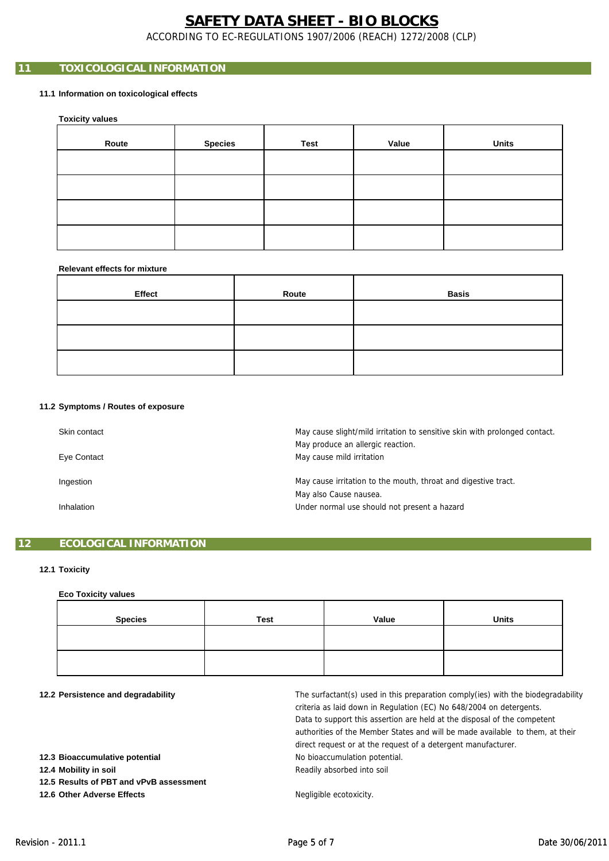ACCORDING TO EC-REGULATIONS 1907/2006 (REACH) 1272/2008 (CLP)

## **11 TOXICOLOGICAL INFORMATION**

## **11.1 Information on toxicological effects**

 **Toxicity values**

| Route | <b>Species</b> | Test | Value | <b>Units</b> |
|-------|----------------|------|-------|--------------|
|       |                |      |       |              |
|       |                |      |       |              |
|       |                |      |       |              |
|       |                |      |       |              |

#### **Relevant effects for mixture**

| Effect | Route | <b>Basis</b> |
|--------|-------|--------------|
|        |       |              |
|        |       |              |
|        |       |              |

#### **11.2 Symptoms / Routes of exposure**

| Skin contact<br>Eye Contact | May cause slight/mild irritation to sensitive skin with prolonged contact.<br>May produce an allergic reaction.<br>May cause mild irritation |
|-----------------------------|----------------------------------------------------------------------------------------------------------------------------------------------|
| Ingestion                   | May cause irritation to the mouth, throat and digestive tract.<br>May also Cause nausea.                                                     |
| Inhalation                  | Under normal use should not present a hazard                                                                                                 |

## **12 ECOLOGICAL INFORMATION**

## **12.1 Toxicity**

## **Eco Toxicity values**

| <b>Species</b> | <b>Test</b> | Value | <b>Units</b> |
|----------------|-------------|-------|--------------|
|                |             |       |              |
|                |             |       |              |

#### **12.2 Persistence and degradability**

No bioaccumulation potential. direct request or at the request of a detergent manufacturer. The surfactant(s) used in this preparation comply(ies) with the biodegradability criteria as laid down in Regulation (EC) No 648/2004 on detergents. Readily absorbed into soil Data to support this assertion are held at the disposal of the competent authorities of the Member States and will be made available to them, at their

 **12.5 Results of PBT and vPvB assessment**

 **12.6 Other Adverse Effects**

 **12.4 Mobility in soil**

 **12.3 Bioaccumulative potential**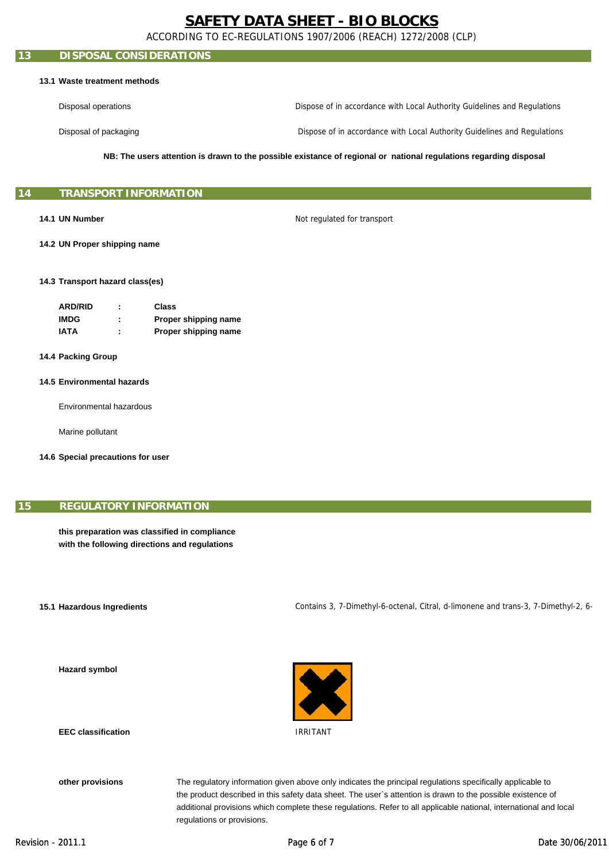ACCORDING TO EC-REGULATIONS 1907/2006 (REACH) 1272/2008 (CLP)

## **13 DISPOSAL CONSIDERATIONS**

### **13.1 Waste treatment methods**

Disposal operations Dispose of in accordance with Local Authority Guidelines and Regulations

Disposal of packaging

Dispose of in accordance with Local Authority Guidelines and Regulations

**NB: The users attention is drawn to the possible existance of regional or national regulations regarding disposal**

## **15 TRANSPORT INFORMATION**

## **14.1 UN Number**

Not regulated for transport

 **14.2 UN Proper shipping name**

#### **14.3 Transport hazard class(es)**

| <b>ARD/RID</b> | ٠ | Class                |
|----------------|---|----------------------|
| <b>IMDG</b>    | ٠ | Proper shipping name |
| IATA           | ٠ | Proper shipping name |

- **14.4 Packing Group**
- **14.5 Environmental hazards**

Environmental hazardous

Marine pollutant

 **14.6 Special precautions for user**

## **15 REGULATORY INFORMATION**

**this preparation was classified in compliance with the following directions and regulations**

#### **15.1 Hazardous Ingredients**

 **Hazard symbol**

Contains 3, 7-Dimethyl-6-octenal, Citral, d-limonene and trans-3, 7-Dimethyl-2, 6-



 **EEC classification**

 **other provisions**

The regulatory information given above only indicates the principal regulations specifically applicable to the product described in this safety data sheet. The user`s attention is drawn to the possible existence of additional provisions which complete these regulations. Refer to all applicable national, international and local regulations or provisions.